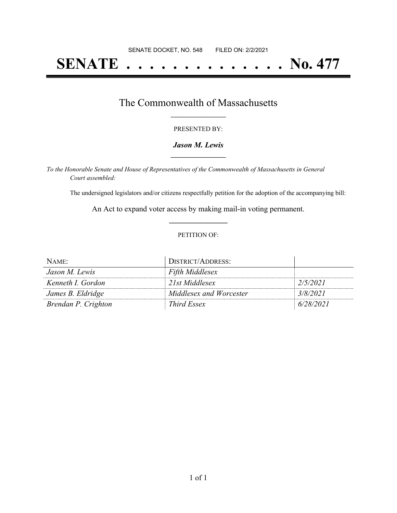# **SENATE . . . . . . . . . . . . . . No. 477**

### The Commonwealth of Massachusetts **\_\_\_\_\_\_\_\_\_\_\_\_\_\_\_\_\_**

#### PRESENTED BY:

#### *Jason M. Lewis* **\_\_\_\_\_\_\_\_\_\_\_\_\_\_\_\_\_**

*To the Honorable Senate and House of Representatives of the Commonwealth of Massachusetts in General Court assembled:*

The undersigned legislators and/or citizens respectfully petition for the adoption of the accompanying bill:

An Act to expand voter access by making mail-in voting permanent. **\_\_\_\_\_\_\_\_\_\_\_\_\_\_\_**

#### PETITION OF:

| NAME:               | DISTRICT/ADDRESS:       |           |
|---------------------|-------------------------|-----------|
| Jason M. Lewis      | <b>Fifth Middlesex</b>  |           |
| Kenneth I. Gordon   | 21st Middlesex          | 2/5/2021  |
| James B. Eldridge   | Middlesex and Worcester | 3/8/2021  |
| Brendan P. Crighton | Third Essex             | 6/28/2021 |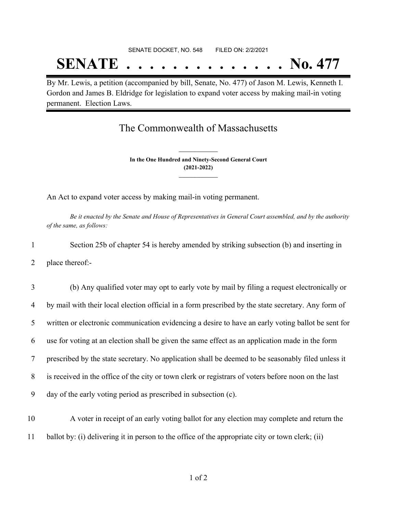# SENATE DOCKET, NO. 548 FILED ON: 2/2/2021 **SENATE . . . . . . . . . . . . . . No. 477**

By Mr. Lewis, a petition (accompanied by bill, Senate, No. 477) of Jason M. Lewis, Kenneth I. Gordon and James B. Eldridge for legislation to expand voter access by making mail-in voting permanent. Election Laws.

## The Commonwealth of Massachusetts

**In the One Hundred and Ninety-Second General Court (2021-2022) \_\_\_\_\_\_\_\_\_\_\_\_\_\_\_**

**\_\_\_\_\_\_\_\_\_\_\_\_\_\_\_**

An Act to expand voter access by making mail-in voting permanent.

Be it enacted by the Senate and House of Representatives in General Court assembled, and by the authority *of the same, as follows:*

1 Section 25b of chapter 54 is hereby amended by striking subsection (b) and inserting in 2 place thereof:-

 (b) Any qualified voter may opt to early vote by mail by filing a request electronically or by mail with their local election official in a form prescribed by the state secretary. Any form of written or electronic communication evidencing a desire to have an early voting ballot be sent for use for voting at an election shall be given the same effect as an application made in the form prescribed by the state secretary. No application shall be deemed to be seasonably filed unless it is received in the office of the city or town clerk or registrars of voters before noon on the last day of the early voting period as prescribed in subsection (c).

10 A voter in receipt of an early voting ballot for any election may complete and return the 11 ballot by: (i) delivering it in person to the office of the appropriate city or town clerk; (ii)